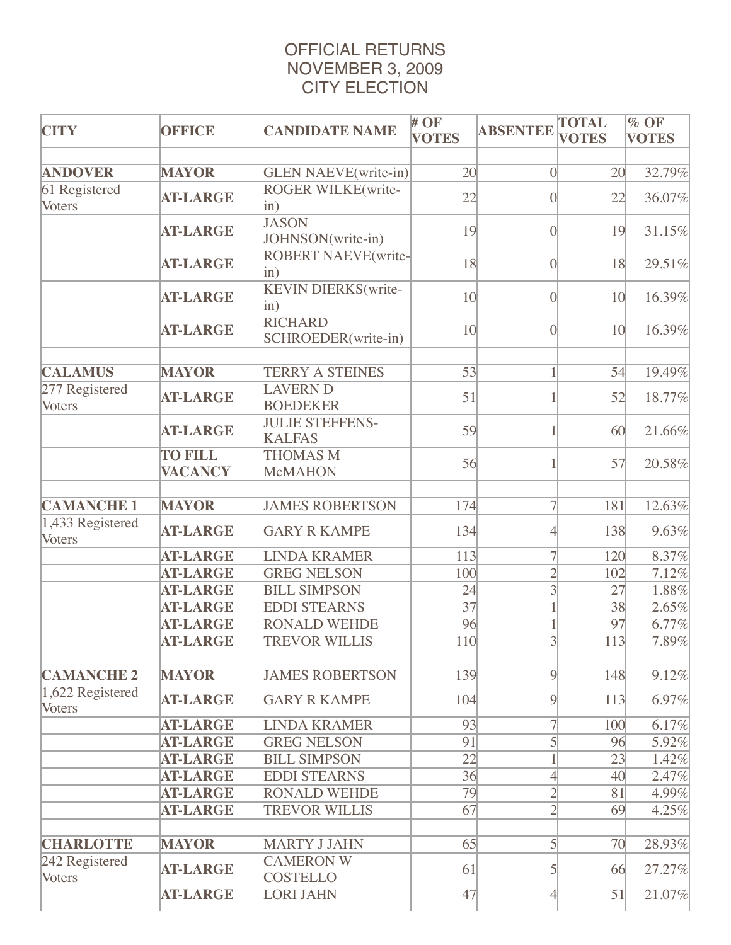## OFFICIAL RETURNS NOVEMBER 3, 2009 CITY ELECTION

| <b>CITY</b>                       | <b>OFFICE</b>                    | <b>CANDIDATE NAME</b>                                                | $#$ OF<br><b>VOTES</b> | <b>ABSENTEE</b>          | <b>TOTAL</b><br><b>VOTES</b> | % OF<br><b>VOTES</b> |
|-----------------------------------|----------------------------------|----------------------------------------------------------------------|------------------------|--------------------------|------------------------------|----------------------|
| <b>ANDOVER</b>                    | <b>MAYOR</b>                     |                                                                      | 20                     | $\vert 0 \vert$          | 20                           | 32.79%               |
| 61 Registered<br>Voters           | <b>AT-LARGE</b>                  | <b>GLEN NAEVE</b> (write-in)<br><b>ROGER WILKE</b> (write-<br>$\sin$ | 22                     | $\overline{0}$           | 22                           | 36.07%               |
|                                   | <b>AT-LARGE</b>                  | <b>JASON</b><br>JOHNSON(write-in)                                    | 19                     | $\overline{0}$           | 19                           | 31.15%               |
|                                   | <b>AT-LARGE</b>                  | <b>ROBERT NAEVE(write-</b><br>$\sin$ )                               | 18                     | $\overline{0}$           | 18                           | 29.51%               |
|                                   | <b>AT-LARGE</b>                  | <b>KEVIN DIERKS</b> (write-<br>$\sin$                                | 10 <sup>l</sup>        | $\overline{0}$           | 10 <sup>l</sup>              | 16.39%               |
|                                   | <b>AT-LARGE</b>                  | <b>RICHARD</b><br>SCHROEDER(write-in)                                | 10                     | $\overline{0}$           | 10 <sup>1</sup>              | 16.39%               |
| <b>CALAMUS</b>                    | <b>MAYOR</b>                     | <b>TERRY A STEINES</b>                                               | 53                     |                          | 54                           | 19.49%               |
| 277 Registered<br>Voters          | <b>AT-LARGE</b>                  | <b>LAVERN D</b><br><b>BOEDEKER</b>                                   | 51                     |                          | 52                           | 18.77%               |
|                                   | <b>AT-LARGE</b>                  | <b>JULIE STEFFENS-</b><br><b>KALFAS</b>                              | 59                     |                          | 60                           | 21.66%               |
|                                   | <b>TO FILL</b><br><b>VACANCY</b> | <b>THOMAS M</b><br><b>McMAHON</b>                                    | 56                     |                          | 57                           | 20.58%               |
| <b>CAMANCHE 1</b>                 | <b>MAYOR</b>                     | <b>JAMES ROBERTSON</b>                                               | 174                    | $\overline{7}$           | 181                          | 12.63%               |
| 1,433 Registered<br>Voters        | <b>AT-LARGE</b>                  | <b>GARY R KAMPE</b>                                                  | 134                    | $\overline{\mathcal{A}}$ | 138                          | 9.63%                |
|                                   | <b>AT-LARGE</b>                  | <b>LINDA KRAMER</b>                                                  | 113                    | $\overline{7}$           | 120                          | 8.37%                |
|                                   | <b>AT-LARGE</b>                  | <b>GREG NELSON</b>                                                   | 100                    | $\overline{2}$           | 102                          | 7.12%                |
|                                   | <b>AT-LARGE</b>                  | <b>BILL SIMPSON</b>                                                  | 24                     | $\overline{3}$           | 27                           | 1.88%                |
|                                   | <b>AT-LARGE</b>                  | <b>EDDI STEARNS</b>                                                  | $\overline{37}$        |                          | 38                           | 2.65%                |
|                                   | <b>AT-LARGE</b>                  | <b>RONALD WEHDE</b>                                                  | 96                     |                          | 97                           | 6.77%                |
|                                   | <b>AT-LARGE</b>                  | <b>TREVOR WILLIS</b>                                                 | 110                    | $\overline{3}$           | 113                          | 7.89%                |
| <b>CAMANCHE 2</b>                 | <b>MAYOR</b>                     | <b>JAMES ROBERTSON</b>                                               | 139                    | $\overline{9}$           | 148                          | 9.12%                |
| 1,622 Registered<br><b>Voters</b> | <b>AT-LARGE</b>                  | <b>GARY R KAMPE</b>                                                  | 104                    | 9                        | 113                          | 6.97%                |
|                                   | <b>AT-LARGE</b>                  | <b>LINDA KRAMER</b>                                                  | 93                     | $\overline{7}$           | 100                          | 6.17%                |
|                                   | <b>AT-LARGE</b>                  | <b>GREG NELSON</b>                                                   | 91                     | $\mathcal{S}$            | 96                           | 5.92%                |
|                                   | <b>AT-LARGE</b>                  | <b>BILL SIMPSON</b>                                                  | 22                     |                          | 23                           | 1.42%                |
|                                   | <b>AT-LARGE</b>                  | <b>EDDI STEARNS</b>                                                  | 36                     | $\overline{4}$           | 40                           | 2.47%                |
|                                   | <b>AT-LARGE</b>                  | <b>RONALD WEHDE</b>                                                  | 79                     | $\overline{2}$           | 81                           | 4.99%                |
|                                   | <b>AT-LARGE</b>                  | <b>TREVOR WILLIS</b>                                                 | 67                     | $\overline{2}$           | 69                           | 4.25%                |
|                                   |                                  |                                                                      |                        |                          |                              |                      |
| <b>CHARLOTTE</b>                  | <b>MAYOR</b>                     | <b>MARTY J JAHN</b>                                                  | 65                     | 5                        | 70                           | 28.93%               |
| 242 Registered<br>Voters          | <b>AT-LARGE</b>                  | <b>CAMERON W</b><br><b>COSTELLO</b>                                  | 61                     | 5                        | 66                           | 27.27%               |
|                                   | <b>AT-LARGE</b>                  | <b>LORI JAHN</b>                                                     | 47                     | $\overline{4}$           | 51                           | 21.07%               |
|                                   |                                  |                                                                      |                        |                          |                              |                      |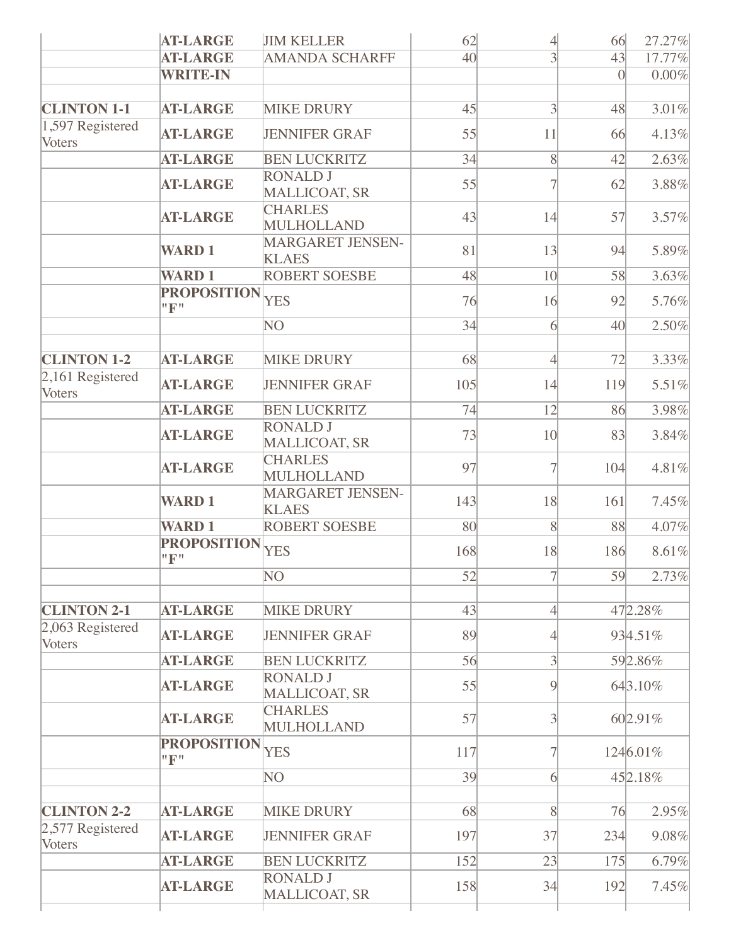|                                   | <b>AT-LARGE</b>           | <b>JIM KELLER</b>                       | 62              | $\overline{4}$           | 66        | 27.27%   |
|-----------------------------------|---------------------------|-----------------------------------------|-----------------|--------------------------|-----------|----------|
|                                   | <b>AT-LARGE</b>           | <b>AMANDA SCHARFF</b>                   | 40 <sup>l</sup> | $\overline{3}$           | 43        | 17.77%   |
|                                   | <b>WRITE-IN</b>           |                                         |                 |                          | $\vert$ 0 | 0.00%    |
|                                   |                           |                                         |                 |                          |           |          |
| <b>CLINTON 1-1</b>                | <b>AT-LARGE</b>           | <b>MIKE DRURY</b>                       | 45              | $\overline{3}$           | 48        | 3.01%    |
| $1,597$ Registered<br>Voters      | <b>AT-LARGE</b>           | <b>JENNIFER GRAF</b>                    | 55              | 11                       | 66        | 4.13%    |
|                                   | <b>AT-LARGE</b>           | <b>BEN LUCKRITZ</b>                     | 34              | 8                        | 42        | 2.63%    |
|                                   | <b>AT-LARGE</b>           | <b>RONALD J</b><br><b>MALLICOAT, SR</b> | 55              | 7                        | 62        | 3.88%    |
|                                   | <b>AT-LARGE</b>           | <b>CHARLES</b><br>MULHOLLAND            | 43              | 14                       | 57        | 3.57%    |
|                                   | <b>WARD1</b>              | <b>MARGARET JENSEN-</b><br><b>KLAES</b> | 81              | 13                       | 94        | 5.89%    |
|                                   | <b>WARD1</b>              | <b>ROBERT SOESBE</b>                    | 48              | 10 <sup>1</sup>          | 58        | 3.63%    |
|                                   | <b>PROPOSITION</b><br>"F" | <b>YES</b>                              | 76              | 16                       | 92        | 5.76%    |
|                                   |                           | NO                                      | 34              | 6                        | 40        | 2.50%    |
|                                   |                           |                                         |                 |                          |           |          |
| <b>CLINTON 1-2</b>                | <b>AT-LARGE</b>           | <b>MIKE DRURY</b>                       | 68              | $\overline{4}$           | 72        | 3.33%    |
| 2,161 Registered<br>Voters        | <b>AT-LARGE</b>           | <b>JENNIFER GRAF</b>                    | 105             | 14                       | 119       | 5.51%    |
|                                   | <b>AT-LARGE</b>           | <b>BEN LUCKRITZ</b>                     | 74              | 12                       | 86        | 3.98%    |
|                                   | <b>AT-LARGE</b>           | <b>RONALD J</b><br><b>MALLICOAT, SR</b> | 73              | 10 <sup>l</sup>          | 83        | 3.84%    |
|                                   | <b>AT-LARGE</b>           | <b>CHARLES</b><br>MULHOLLAND            | 97              |                          | 104       | 4.81%    |
|                                   | <b>WARD1</b>              | <b>MARGARET JENSEN-</b><br><b>KLAES</b> | 143             | 18                       | 161       | 7.45%    |
|                                   | <b>WARD1</b>              | <b>ROBERT SOESBE</b>                    | 80              | $\overline{8}$           | 88        | 4.07%    |
|                                   | <b>PROPOSITION</b><br>"F" | <b>YES</b>                              | 168             | 18                       | 186       | 8.61%    |
|                                   |                           | $\overline{NO}$                         | 52              | $\overline{7}$           | 59        | 2.73%    |
|                                   |                           |                                         |                 |                          |           |          |
| <b>CLINTON 2-1</b>                | <b>AT-LARGE</b>           | <b>MIKE DRURY</b>                       | 43              | $\overline{4}$           |           | 472.28%  |
| 2,063 Registered<br><b>Voters</b> | <b>AT-LARGE</b>           | <b>JENNIFER GRAF</b>                    | 89              | $\overline{\mathcal{A}}$ |           | 934.51%  |
|                                   | <b>AT-LARGE</b>           | <b>BEN LUCKRITZ</b>                     | 56              | $\overline{3}$           |           | 592.86%  |
|                                   | <b>AT-LARGE</b>           | <b>RONALD J</b><br><b>MALLICOAT, SR</b> | 55              | $\overline{9}$           |           | 643.10%  |
|                                   | <b>AT-LARGE</b>           | <b>CHARLES</b><br><b>MULHOLLAND</b>     | 57              | 3                        |           | 602.91%  |
|                                   | <b>PROPOSITION</b><br>"F" | <b>YES</b>                              | 117             | $\overline{7}$           |           | 1246.01% |
|                                   |                           | NO                                      | 39              | 6                        |           | 452.18%  |
|                                   |                           |                                         |                 |                          |           |          |
| <b>CLINTON 2-2</b>                | <b>AT-LARGE</b>           | <b>MIKE DRURY</b>                       | 68              | 8                        | 76        | 2.95%    |
| 2,577 Registered<br>Voters        | <b>AT-LARGE</b>           | <b>JENNIFER GRAF</b>                    | 197             | 37                       | 234       | 9.08%    |
|                                   | <b>AT-LARGE</b>           | <b>BEN LUCKRITZ</b>                     | 152             | 23                       | 175       | 6.79%    |
|                                   | <b>AT-LARGE</b>           | <b>RONALD J</b><br><b>MALLICOAT, SR</b> | 158             | 34                       | 192       | 7.45%    |
|                                   |                           |                                         |                 |                          |           |          |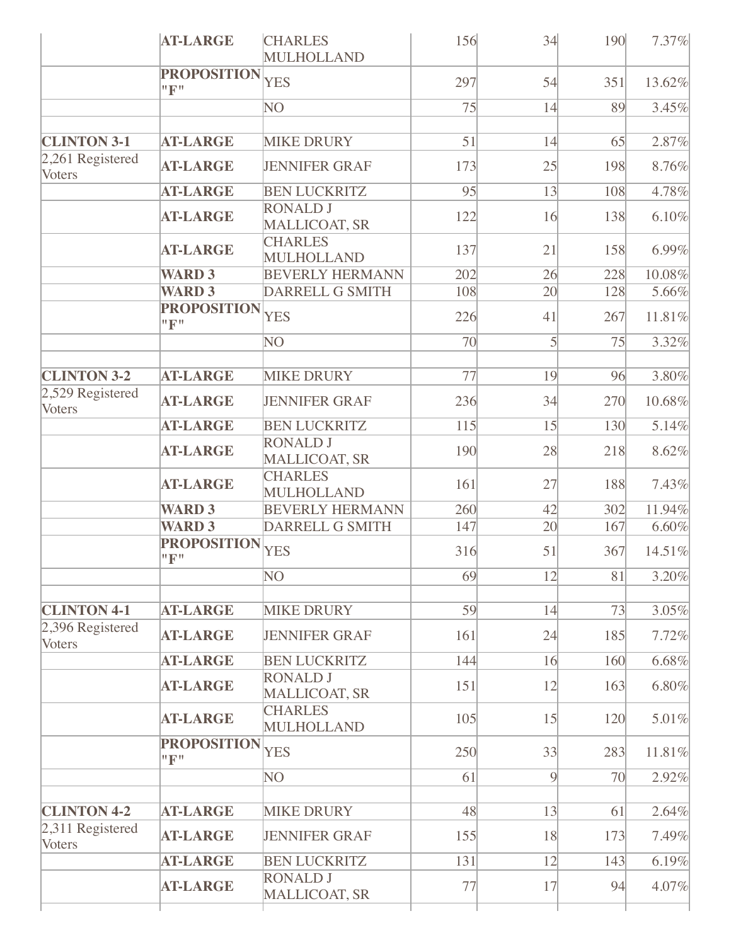|                                        | <b>AT-LARGE</b>                    | <b>CHARLES</b><br><b>MULHOLLAND</b>       | 156       | 34             | 190       | 7.37%          |
|----------------------------------------|------------------------------------|-------------------------------------------|-----------|----------------|-----------|----------------|
|                                        | <b>PROPOSITION</b><br>"F"          | <b>YES</b>                                | 297       | 54             | 351       | 13.62%         |
|                                        |                                    | NO                                        | 75        | 14             | 89        | 3.45%          |
| <b>CLINTON 3-1</b>                     | <b>AT-LARGE</b>                    | <b>MIKE DRURY</b>                         | 51        | 14             | 65        | 2.87%          |
| 2,261 Registered<br>Voters             | <b>AT-LARGE</b>                    | <b>JENNIFER GRAF</b>                      | 173       | 25             | 198       | 8.76%          |
|                                        | <b>AT-LARGE</b>                    | <b>BEN LUCKRITZ</b>                       | 95        | 13             | 108       | 4.78%          |
|                                        | <b>AT-LARGE</b>                    | <b>RONALD J</b><br><b>MALLICOAT, SR</b>   | 122       | 16             | 138       | 6.10%          |
|                                        | <b>AT-LARGE</b>                    | <b>CHARLES</b><br>MULHOLLAND              | 137       | 21             | 158       | 6.99%          |
|                                        | <b>WARD 3</b>                      | <b>BEVERLY HERMANN</b>                    | 202       | 26             | 228       | 10.08%         |
|                                        | <b>WARD 3</b>                      | DARRELL G SMITH                           | 108       | 20             | 128       | 5.66%          |
|                                        | <b>PROPOSITION</b><br>"F"          | <b>YES</b>                                | 226       | 41             | 267       | 11.81%         |
|                                        |                                    | NO                                        | 70        | 5              | 75        | 3.32%          |
| <b>CLINTON 3-2</b>                     | <b>AT-LARGE</b>                    | <b>MIKE DRURY</b>                         | 77        | 19             | 96        | 3.80%          |
| 2,529 Registered<br>Voters             | <b>AT-LARGE</b>                    | <b>JENNIFER GRAF</b>                      | 236       | 34             | 270       | 10.68%         |
|                                        | <b>AT-LARGE</b>                    | <b>BEN LUCKRITZ</b>                       | 115       | 15             | 130       | 5.14%          |
|                                        | <b>AT-LARGE</b>                    | <b>RONALD J</b><br><b>MALLICOAT, SR</b>   | 190       | 28             | 218       | 8.62%          |
|                                        | <b>AT-LARGE</b>                    | <b>CHARLES</b><br>MULHOLLAND              | 161       | 27             | 188       | 7.43%          |
|                                        | <b>WARD 3</b>                      | <b>BEVERLY HERMANN</b>                    | 260       | 42             | 302       | 11.94%         |
|                                        | <b>WARD 3</b>                      | DARRELL G SMITH                           | 147       | 20             | 167       | 6.60%          |
|                                        | <b>PROPOSITION</b><br>"F"          | <b>YES</b>                                | 316       | 51             | 367       | 14.51%         |
|                                        |                                    | NΟ                                        | 69        | 12             | 81        | 3.20%          |
| <b>CLINTON 4-1</b>                     | <b>AT-LARGE</b>                    | <b>MIKE DRURY</b>                         | 59        | 14             | 73        | 3.05%          |
| 2,396 Registered<br><b>Voters</b>      | <b>AT-LARGE</b>                    | <b>JENNIFER GRAF</b>                      | 161       | 24             | 185       | 7.72%          |
|                                        | <b>AT-LARGE</b>                    | <b>BEN LUCKRITZ</b>                       | 144       | 16             | 160       | 6.68%          |
|                                        | <b>AT-LARGE</b>                    | <b>RONALD J</b><br>MALLICOAT, SR          | 151       | 12             | 163       | 6.80%          |
|                                        | <b>AT-LARGE</b>                    | <b>CHARLES</b><br><b>MULHOLLAND</b>       | 105       | 15             | 120       | 5.01%          |
|                                        | <b>PROPOSITION</b><br>"F"          | <b>YES</b>                                | 250       | 33             | 283       | 11.81%         |
|                                        |                                    | NΟ                                        | 61        | $\overline{9}$ | 70        | 2.92%          |
|                                        |                                    |                                           |           |                |           |                |
| <b>CLINTON 4-2</b><br>2,311 Registered | <b>AT-LARGE</b><br><b>AT-LARGE</b> | <b>MIKE DRURY</b><br><b>JENNIFER GRAF</b> | 48<br>155 | 13<br>18       | 61<br>173 | 2.64%<br>7.49% |
| <b>Voters</b>                          |                                    |                                           |           |                |           |                |
|                                        | <b>AT-LARGE</b>                    | <b>BEN LUCKRITZ</b>                       | 131       | 12             | 143       | 6.19%          |
|                                        | <b>AT-LARGE</b>                    | <b>RONALD J</b><br><b>MALLICOAT, SR</b>   | 77        | 17             | 94        | 4.07%          |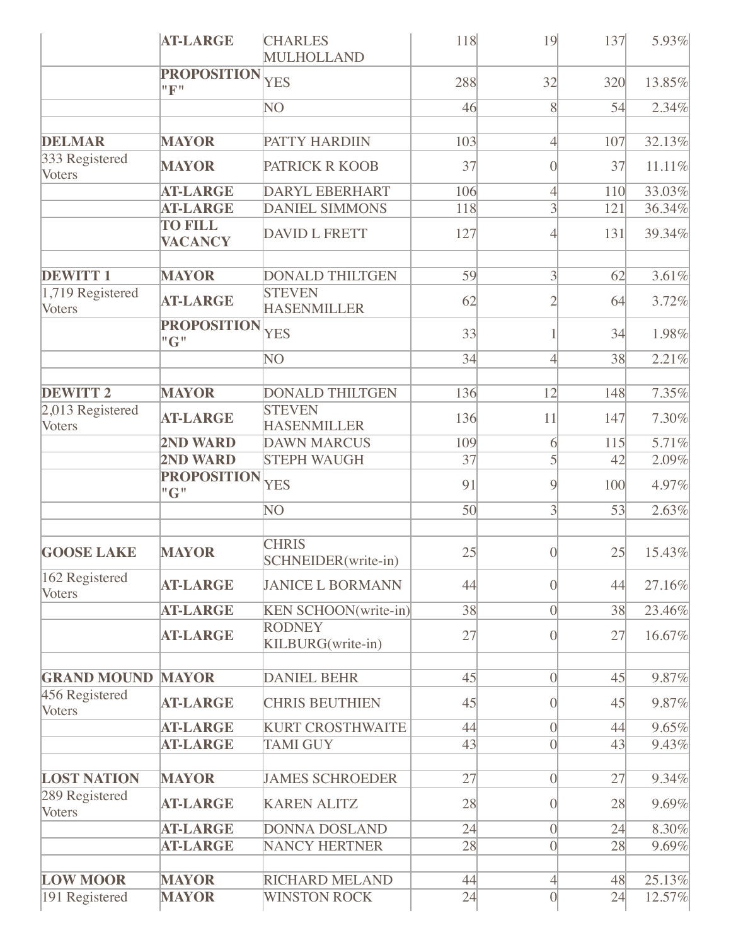|                                 | <b>AT-LARGE</b>                  | <b>CHARLES</b><br>MULHOLLAND        | 118 | 19                         | 137 | 5.93%  |
|---------------------------------|----------------------------------|-------------------------------------|-----|----------------------------|-----|--------|
|                                 | <b>PROPOSITION</b><br>"F"        | <b>YES</b>                          | 288 | 32                         | 320 | 13.85% |
|                                 |                                  | NO                                  | 46  | 8                          | 54  | 2.34%  |
| <b>DELMAR</b>                   | <b>MAYOR</b>                     | PATTY HARDIIN                       | 103 | $\overline{4}$             | 107 | 32.13% |
| 333 Registered<br>Voters        | <b>MAYOR</b>                     | PATRICK R KOOB                      | 37  | $\Omega$                   | 37  | 11.11% |
|                                 | <b>AT-LARGE</b>                  | <b>DARYL EBERHART</b>               | 106 | $\overline{4}$             | 110 | 33.03% |
|                                 | <b>AT-LARGE</b>                  | <b>DANIEL SIMMONS</b>               | 118 | $\overline{3}$             | 121 | 36.34% |
|                                 | <b>TO FILL</b><br><b>VACANCY</b> | DAVID L FRETT                       | 127 | 4                          | 131 | 39.34% |
| <b>DEWITT1</b>                  | <b>MAYOR</b>                     | <b>DONALD THILTGEN</b>              | 59  | $\overline{3}$             | 62  | 3.61%  |
| $ 1,719$ Registered<br>Voters   | <b>AT-LARGE</b>                  | <b>STEVEN</b><br><b>HASENMILLER</b> | 62  | $\overline{2}$             | 64  | 3.72%  |
|                                 | <b>PROPOSITION</b><br>"G"        | <b>YES</b>                          | 33  |                            | 34  | 1.98%  |
|                                 |                                  | NO                                  | 34  | $\overline{4}$             | 38  | 2.21%  |
|                                 |                                  |                                     |     |                            |     |        |
| <b>DEWITT 2</b>                 | <b>MAYOR</b>                     | <b>DONALD THILTGEN</b>              | 136 | 12                         | 148 | 7.35%  |
| 2,013 Registered<br>Voters      | <b>AT-LARGE</b>                  | <b>STEVEN</b><br><b>HASENMILLER</b> | 136 | 11                         | 147 | 7.30%  |
|                                 | 2ND WARD                         | <b>DAWN MARCUS</b>                  | 109 | 6                          | 115 | 5.71%  |
|                                 | 2ND WARD                         | <b>STEPH WAUGH</b>                  | 37  | $\mathcal{S}$              | 42  | 2.09%  |
|                                 | <b>PROPOSITION</b><br>"G"        | <b>YES</b>                          | 91  | $\overline{9}$             | 100 | 4.97%  |
|                                 |                                  | NO                                  | 50  | $\overline{3}$             | 53  | 2.63%  |
| <b>GOOSE LAKE</b>               | <b>MAYOR</b>                     | <b>CHRIS</b><br>SCHNEIDER(write-in) | 25  | $\Omega$                   | 25  | 15.43% |
| 162 Registered<br>Voters        | <b>AT-LARGE</b>                  | <b>JANICE L BORMANN</b>             | 44  | $\overline{0}$             | 44  | 27.16% |
|                                 | <b>AT-LARGE</b>                  | <b>KEN SCHOON</b> (write-in)        | 38  | $\vert$ 0                  | 38  | 23.46% |
|                                 | <b>AT-LARGE</b>                  | <b>RODNEY</b><br>KILBURG(write-in)  | 27  | $\overline{0}$             | 27  | 16.67% |
| <b>GRAND MOUND</b>              | <b>MAYOR</b>                     | <b>DANIEL BEHR</b>                  | 45  | $\vert$ 0                  | 45  | 9.87%  |
| 456 Registered<br><b>Voters</b> | <b>AT-LARGE</b>                  | <b>CHRIS BEUTHIEN</b>               | 45  | $\Omega$                   | 45  | 9.87%  |
|                                 | <b>AT-LARGE</b>                  | <b>KURT CROSTHWAITE</b>             | 44  | $\vert 0 \vert$            | 44  | 9.65%  |
|                                 | <b>AT-LARGE</b>                  | <b>TAMI GUY</b>                     | 43  | $\vert$                    | 43  | 9.43%  |
| <b>LOST NATION</b>              | <b>MAYOR</b>                     | <b>JAMES SCHROEDER</b>              | 27  | $\overline{0}$             | 27  | 9.34%  |
| 289 Registered<br><b>Voters</b> | <b>AT-LARGE</b>                  | <b>KAREN ALITZ</b>                  | 28  | $\Omega$                   | 28  | 9.69%  |
|                                 | <b>AT-LARGE</b>                  | <b>DONNA DOSLAND</b>                | 24  | $\vert 0 \vert$            | 24  | 8.30%  |
|                                 | <b>AT-LARGE</b>                  | <b>NANCY HERTNER</b>                | 28  | $\overline{0}$             | 28  | 9.69%  |
| <b>LOW MOOR</b>                 | <b>MAYOR</b>                     | <b>RICHARD MELAND</b>               | 44  |                            | 48  | 25.13% |
| 191 Registered                  | <b>MAYOR</b>                     | <b>WINSTON ROCK</b>                 | 24  | $\overline{4}$<br>$\Omega$ | 24  | 12.57% |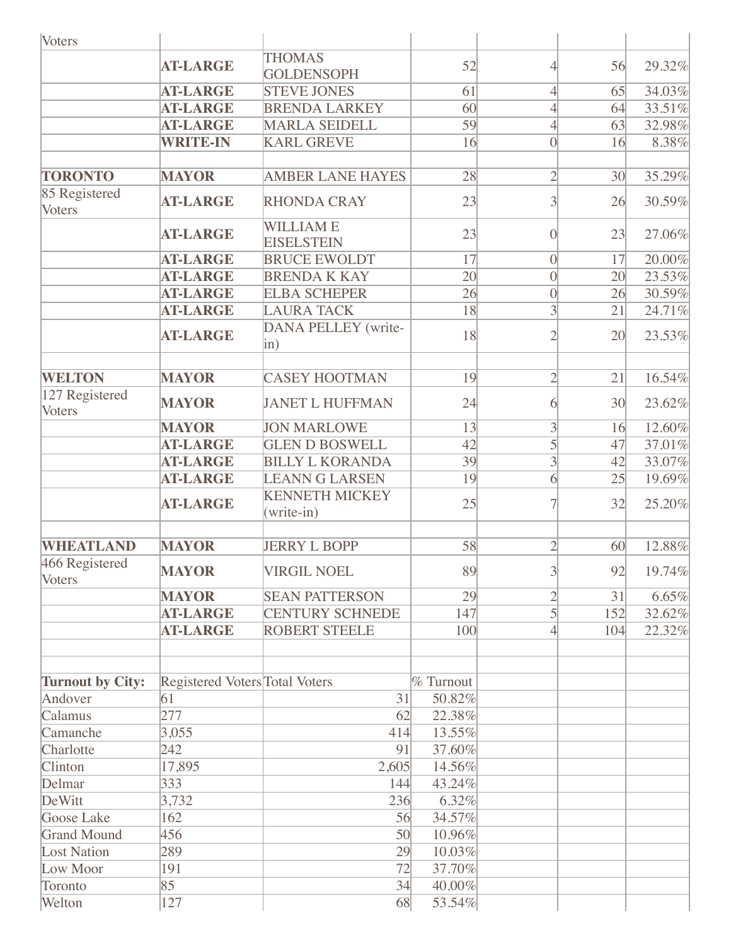| <b>Voters</b>                            |                                |                                        |                  |                 |                 |        |
|------------------------------------------|--------------------------------|----------------------------------------|------------------|-----------------|-----------------|--------|
|                                          | <b>AT-LARGE</b>                | <b>THOMAS</b><br><b>GOLDENSOPH</b>     | 52               | 4               | 56              | 29.32% |
|                                          | <b>AT-LARGE</b>                | <b>STEVE JONES</b>                     | 61               | $\overline{4}$  | 65              | 34.03% |
|                                          | <b>AT-LARGE</b>                | <b>BRENDA LARKEY</b>                   | 60               | 4               | 64              | 33.51% |
|                                          | <b>AT-LARGE</b>                | <b>MARLA SEIDELL</b>                   | 59               | $\overline{4}$  | 63              | 32.98% |
|                                          | <b>WRITE-IN</b>                | <b>KARL GREVE</b>                      | 16               | $\overline{0}$  | 16              | 8.38%  |
|                                          |                                |                                        |                  |                 |                 |        |
| <b>TORONTO</b>                           | <b>MAYOR</b>                   | <b>AMBER LANE HAYES</b>                | 28               | $\overline{2}$  | 30 <sup>l</sup> | 35.29% |
| 85 Registered<br><b>Voters</b>           | <b>AT-LARGE</b>                | <b>RHONDA CRAY</b>                     | 23               | 3               | 26              | 30.59% |
|                                          | <b>AT-LARGE</b>                | <b>WILLIAME</b><br><b>EISELSTEIN</b>   | 23               | $\Omega$        | 23              | 27.06% |
|                                          | <b>AT-LARGE</b>                | <b>BRUCE EWOLDT</b>                    | 17               | $\vert 0 \vert$ | 17              | 20.00% |
|                                          | <b>AT-LARGE</b>                | <b>BRENDA K KAY</b>                    | 20               | $\vert$ 0       | 20              | 23.53% |
|                                          | <b>AT-LARGE</b>                | <b>ELBA SCHEPER</b>                    | 26               | $\vert$ 0       | 26              | 30.59% |
|                                          | <b>AT-LARGE</b>                | <b>LAURA TACK</b>                      | 18               | 3               | 21              | 24.71% |
|                                          | <b>AT-LARGE</b>                | <b>DANA PELLEY</b> (write-<br>$\sin$ ) | 18               | 2               | 20              | 23.53% |
|                                          |                                |                                        |                  |                 |                 |        |
| <b>WELTON</b>                            | <b>MAYOR</b>                   | <b>CASEY HOOTMAN</b>                   | 19               | $\overline{2}$  | 21              | 16.54% |
| $\sqrt{127}$ Registered<br><b>Voters</b> | <b>MAYOR</b>                   | <b>JANET L HUFFMAN</b>                 | 24               | 6               | 30 <sup>l</sup> | 23.62% |
|                                          | <b>MAYOR</b>                   | <b>JON MARLOWE</b>                     | 13               | 3               | 16              | 12.60% |
|                                          | <b>AT-LARGE</b>                | <b>GLEN D BOSWELL</b>                  | 42               | 5               | 47              | 37.01% |
|                                          | <b>AT-LARGE</b>                | <b>BILLY L KORANDA</b>                 | 39               | $\overline{3}$  | 42              | 33.07% |
|                                          | <b>AT-LARGE</b>                | <b>LEANN G LARSEN</b>                  | 19               | $\overline{6}$  | 25              | 19.69% |
|                                          | <b>AT-LARGE</b>                | <b>KENNETH MICKEY</b><br>$(write-in)$  | 25               |                 | 32              | 25.20% |
|                                          |                                |                                        |                  |                 |                 |        |
| <b>WHEATLAND</b>                         | <b>MAYOR</b>                   | <b>JERRY L BOPP</b>                    | 58               | $\overline{2}$  | 60              | 12.88% |
| 466 Registered<br><b>Voters</b>          | <b>MAYOR</b>                   | <b>VIRGIL NOEL</b>                     | 89               | 3               | 92              | 19.74% |
|                                          | <b>MAYOR</b>                   | <b>SEAN PATTERSON</b>                  | 29               | $\overline{2}$  | 31              | 6.65%  |
|                                          | <b>AT-LARGE</b>                | <b>CENTURY SCHNEDE</b>                 | 147              | 5               | 152             | 32.62% |
|                                          | <b>AT-LARGE</b>                | <b>ROBERT STEELE</b>                   | 100              | 4               | 104             | 22.32% |
| <b>Turnout by City:</b>                  | Registered Voters Total Voters |                                        | <b>% Turnout</b> |                 |                 |        |
| Andover                                  | 61                             | 31                                     | 50.82%           |                 |                 |        |
| Calamus                                  | 277                            | 62                                     | 22.38%           |                 |                 |        |
| Camanche                                 | 3,055                          | 414                                    | 13.55%           |                 |                 |        |
| Charlotte                                | 242                            | 91                                     | 37.60%           |                 |                 |        |
| Clinton                                  | 17,895                         | 2,605                                  | 14.56%           |                 |                 |        |
| Delmar                                   | 333                            | 144                                    | 43.24%           |                 |                 |        |
| DeWitt                                   | 3,732                          | 236                                    | 6.32%            |                 |                 |        |
| Goose Lake                               | 162                            | 56                                     | 34.57%           |                 |                 |        |
| <b>Grand Mound</b>                       | 456                            | 50                                     | 10.96%           |                 |                 |        |
| <b>Lost Nation</b>                       | 289                            | 29                                     | 10.03%           |                 |                 |        |
| Low Moor                                 | 191                            | 72                                     | 37.70%           |                 |                 |        |
| Toronto                                  | 85                             | 34                                     | 40.00%           |                 |                 |        |
| Welton                                   | 127                            | 68                                     | 53.54%           |                 |                 |        |